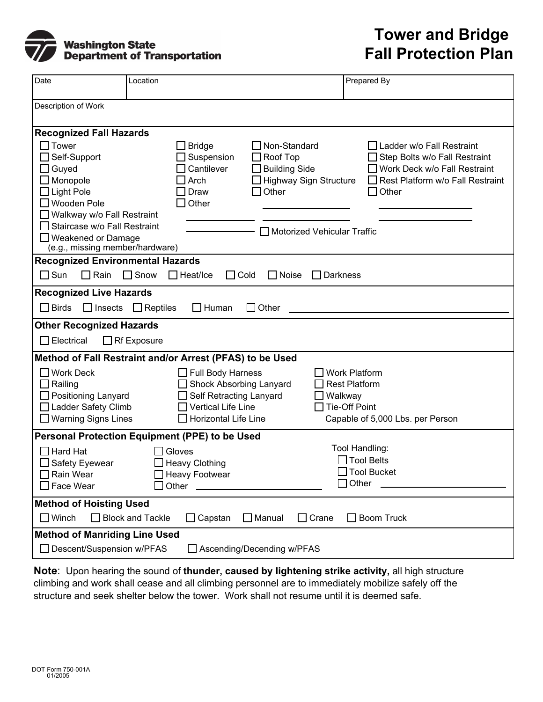

## **Tower and Bridge Fall Protection Plan**

| Date                                                                                                                                                                                                                                       | Location                                                                                                                                             | Prepared By                                                                                                                                                                                        |  |  |  |
|--------------------------------------------------------------------------------------------------------------------------------------------------------------------------------------------------------------------------------------------|------------------------------------------------------------------------------------------------------------------------------------------------------|----------------------------------------------------------------------------------------------------------------------------------------------------------------------------------------------------|--|--|--|
| Description of Work                                                                                                                                                                                                                        |                                                                                                                                                      |                                                                                                                                                                                                    |  |  |  |
| <b>Recognized Fall Hazards</b>                                                                                                                                                                                                             |                                                                                                                                                      |                                                                                                                                                                                                    |  |  |  |
| $\Box$ Tower<br>Self-Support<br>$\Box$ Guyed<br>Monopole<br>$\Box$ Light Pole<br>□ Wooden Pole<br>$\Box$ Walkway w/o Fall Restraint<br>$\Box$ Staircase w/o Fall Restraint<br>$\Box$ Weakened or Damage<br>(e.g., missing member/hardware) | $\Box$ Non-Standard<br><b>Bridge</b><br>$\Box$ Roof Top<br>Suspension<br>Cantilever<br>$\Box$ Building Side<br>Arch<br>$\Box$ Other<br>Draw<br>Other | Ladder w/o Fall Restraint<br>Step Bolts w/o Fall Restraint<br>Work Deck w/o Fall Restraint<br>□ Highway Sign Structure<br>Rest Platform w/o Fall Restraint<br>Other<br>Motorized Vehicular Traffic |  |  |  |
| <b>Recognized Environmental Hazards</b>                                                                                                                                                                                                    |                                                                                                                                                      |                                                                                                                                                                                                    |  |  |  |
| $\square$ Sun<br>$\Box$ Rain<br>$\Box$ Snow<br>$\Box$ Cold<br>$\Box$ Heat/Ice<br>$\Box$ Noise<br>$\Box$ Darkness                                                                                                                           |                                                                                                                                                      |                                                                                                                                                                                                    |  |  |  |
| <b>Recognized Live Hazards</b>                                                                                                                                                                                                             |                                                                                                                                                      |                                                                                                                                                                                                    |  |  |  |
| <b>Birds</b><br>$\Box$ Insects<br>$\Box$ Reptiles<br>Human<br>Other<br>ΙI                                                                                                                                                                  |                                                                                                                                                      |                                                                                                                                                                                                    |  |  |  |
| <b>Other Recognized Hazards</b><br>Electrical<br>$\Box$ Rf Exposure                                                                                                                                                                        |                                                                                                                                                      |                                                                                                                                                                                                    |  |  |  |
| Method of Fall Restraint and/or Arrest (PFAS) to be Used                                                                                                                                                                                   |                                                                                                                                                      |                                                                                                                                                                                                    |  |  |  |
| $\Box$ Work Deck<br>$\Box$ Railing<br>□ Positioning Lanyard<br>□ Ladder Safety Climb<br>$\Box$ Warning Signs Lines                                                                                                                         | $\Box$ Full Body Harness<br>Shock Absorbing Lanyard<br>Self Retracting Lanyard<br><b>Vertical Life Line</b><br>Horizontal Life Line                  | <b>Work Platform</b><br><b>Rest Platform</b><br>$\Box$ Walkway<br><b>Tie-Off Point</b><br>Capable of 5,000 Lbs. per Person                                                                         |  |  |  |
| Personal Protection Equipment (PPE) to be Used                                                                                                                                                                                             |                                                                                                                                                      |                                                                                                                                                                                                    |  |  |  |
| $\sqcap$ Hard Hat<br>Safety Eyewear<br>Rain Wear<br>Face Wear                                                                                                                                                                              | Gloves<br><b>Heavy Clothing</b><br><b>Heavy Footwear</b><br>Other                                                                                    | Tool Handling:<br>$\Box$ Tool Belts<br>$\Box$ Tool Bucket<br>Other                                                                                                                                 |  |  |  |
| <b>Method of Hoisting Used</b><br>Winch<br><b>Block and Tackle</b><br>$\Box$ Capstan<br>$\Box$ Manual<br>Crane<br><b>Boom Truck</b>                                                                                                        |                                                                                                                                                      |                                                                                                                                                                                                    |  |  |  |
| <b>Method of Manriding Line Used</b><br>□ Descent/Suspension w/PFAS<br>□ Ascending/Decending w/PFAS                                                                                                                                        |                                                                                                                                                      |                                                                                                                                                                                                    |  |  |  |

**Note**: Upon hearing the sound of **thunder, caused by lightening strike activity,** all high structure climbing and work shall cease and all climbing personnel are to immediately mobilize safely off the structure and seek shelter below the tower. Work shall not resume until it is deemed safe.